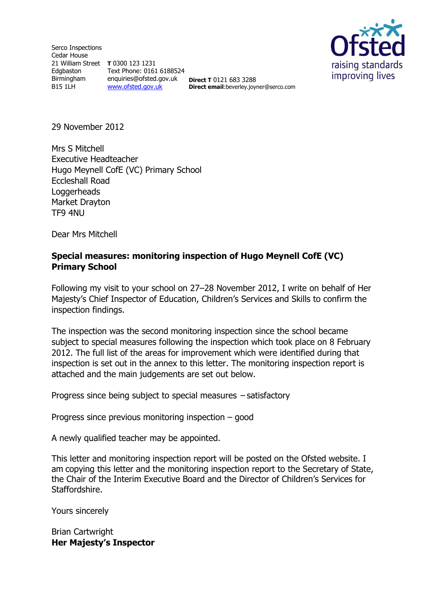Serco Inspections Cedar House 21 William Street **T** 0300 123 1231 Edgbaston Birmingham B15 1LH

Text Phone: 0161 6188524 enquiries@ofsted.gov.uk [www.ofsted.gov.uk](http://www.ofsted.gov.uk/)

**Direct T** 0121 683 3288 **Direct email**:beverley.joyner@serco.com



29 November 2012

Mrs S Mitchell Executive Headteacher Hugo Meynell CofE (VC) Primary School Eccleshall Road **Loggerheads** Market Drayton TF9 4NU

Dear Mrs Mitchell

#### **Special measures: monitoring inspection of Hugo Meynell CofE (VC) Primary School**

Following my visit to your school on 27–28 November 2012, I write on behalf of Her Majesty's Chief Inspector of Education, Children's Services and Skills to confirm the inspection findings.

The inspection was the second monitoring inspection since the school became subject to special measures following the inspection which took place on 8 February 2012. The full list of the areas for improvement which were identified during that inspection is set out in the annex to this letter. The monitoring inspection report is attached and the main judgements are set out below.

Progress since being subject to special measures – satisfactory

Progress since previous monitoring inspection – good

A newly qualified teacher may be appointed.

This letter and monitoring inspection report will be posted on the Ofsted website. I am copying this letter and the monitoring inspection report to the Secretary of State, the Chair of the Interim Executive Board and the Director of Children's Services for Staffordshire.

Yours sincerely

Brian Cartwright **Her Majesty's Inspector**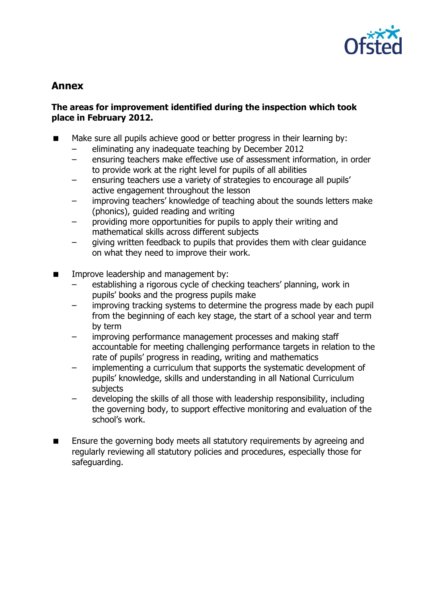

# **Annex**

### **The areas for improvement identified during the inspection which took place in February 2012.**

- Make sure all pupils achieve good or better progress in their learning by:
	- eliminating any inadequate teaching by December 2012
	- ensuring teachers make effective use of assessment information, in order to provide work at the right level for pupils of all abilities
	- ensuring teachers use a variety of strategies to encourage all pupils' active engagement throughout the lesson
	- improving teachers' knowledge of teaching about the sounds letters make (phonics), guided reading and writing
	- providing more opportunities for pupils to apply their writing and mathematical skills across different subjects
	- giving written feedback to pupils that provides them with clear guidance on what they need to improve their work.
- **IMPROVE LEADERSHIP AND MANAGEMENT DISC** Improve leadership and management by:
	- establishing a rigorous cycle of checking teachers' planning, work in pupils' books and the progress pupils make
	- improving tracking systems to determine the progress made by each pupil from the beginning of each key stage, the start of a school year and term by term
	- improving performance management processes and making staff accountable for meeting challenging performance targets in relation to the rate of pupils' progress in reading, writing and mathematics
	- implementing a curriculum that supports the systematic development of pupils' knowledge, skills and understanding in all National Curriculum subjects
	- developing the skills of all those with leadership responsibility, including the governing body, to support effective monitoring and evaluation of the school's work.
- **Ensure the governing body meets all statutory requirements by agreeing and** regularly reviewing all statutory policies and procedures, especially those for safeguarding.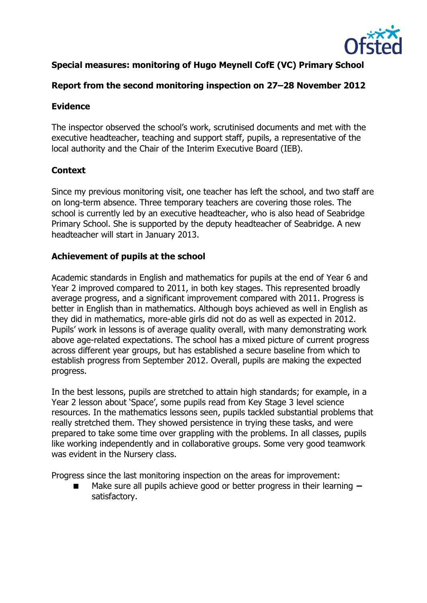

# **Special measures: monitoring of Hugo Meynell CofE (VC) Primary School**

# **Report from the second monitoring inspection on 27–28 November 2012**

### **Evidence**

The inspector observed the school's work, scrutinised documents and met with the executive headteacher, teaching and support staff, pupils, a representative of the local authority and the Chair of the Interim Executive Board (IEB).

# **Context**

Since my previous monitoring visit, one teacher has left the school, and two staff are on long-term absence. Three temporary teachers are covering those roles. The school is currently led by an executive headteacher, who is also head of Seabridge Primary School. She is supported by the deputy headteacher of Seabridge. A new headteacher will start in January 2013.

### **Achievement of pupils at the school**

Academic standards in English and mathematics for pupils at the end of Year 6 and Year 2 improved compared to 2011, in both key stages. This represented broadly average progress, and a significant improvement compared with 2011. Progress is better in English than in mathematics. Although boys achieved as well in English as they did in mathematics, more-able girls did not do as well as expected in 2012. Pupils' work in lessons is of average quality overall, with many demonstrating work above age-related expectations. The school has a mixed picture of current progress across different year groups, but has established a secure baseline from which to establish progress from September 2012. Overall, pupils are making the expected progress.

In the best lessons, pupils are stretched to attain high standards; for example, in a Year 2 lesson about 'Space', some pupils read from Key Stage 3 level science resources. In the mathematics lessons seen, pupils tackled substantial problems that really stretched them. They showed persistence in trying these tasks, and were prepared to take some time over grappling with the problems. In all classes, pupils like working independently and in collaborative groups. Some very good teamwork was evident in the Nursery class.

Progress since the last monitoring inspection on the areas for improvement:

 Make sure all pupils achieve good or better progress in their learning **–** satisfactory.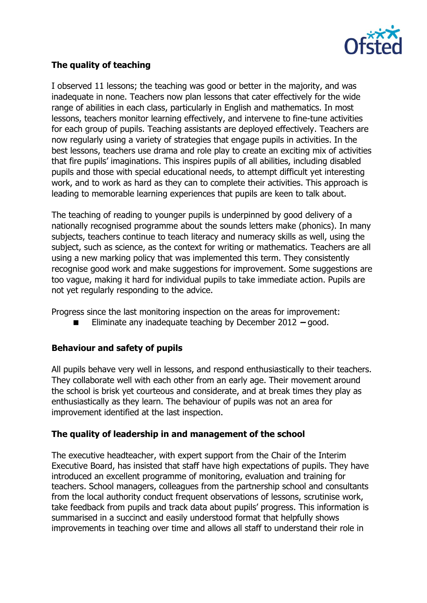

# **The quality of teaching**

I observed 11 lessons; the teaching was good or better in the majority, and was inadequate in none. Teachers now plan lessons that cater effectively for the wide range of abilities in each class, particularly in English and mathematics. In most lessons, teachers monitor learning effectively, and intervene to fine-tune activities for each group of pupils. Teaching assistants are deployed effectively. Teachers are now regularly using a variety of strategies that engage pupils in activities. In the best lessons, teachers use drama and role play to create an exciting mix of activities that fire pupils' imaginations. This inspires pupils of all abilities, including disabled pupils and those with special educational needs, to attempt difficult yet interesting work, and to work as hard as they can to complete their activities. This approach is leading to memorable learning experiences that pupils are keen to talk about.

The teaching of reading to younger pupils is underpinned by good delivery of a nationally recognised programme about the sounds letters make (phonics). In many subjects, teachers continue to teach literacy and numeracy skills as well, using the subject, such as science, as the context for writing or mathematics. Teachers are all using a new marking policy that was implemented this term. They consistently recognise good work and make suggestions for improvement. Some suggestions are too vague, making it hard for individual pupils to take immediate action. Pupils are not yet regularly responding to the advice.

Progress since the last monitoring inspection on the areas for improvement:

■ Eliminate any inadequate teaching by December 2012 – good.

#### **Behaviour and safety of pupils**

All pupils behave very well in lessons, and respond enthusiastically to their teachers. They collaborate well with each other from an early age. Their movement around the school is brisk yet courteous and considerate, and at break times they play as enthusiastically as they learn. The behaviour of pupils was not an area for improvement identified at the last inspection.

#### **The quality of leadership in and management of the school**

The executive headteacher, with expert support from the Chair of the Interim Executive Board, has insisted that staff have high expectations of pupils. They have introduced an excellent programme of monitoring, evaluation and training for teachers. School managers, colleagues from the partnership school and consultants from the local authority conduct frequent observations of lessons, scrutinise work, take feedback from pupils and track data about pupils' progress. This information is summarised in a succinct and easily understood format that helpfully shows improvements in teaching over time and allows all staff to understand their role in